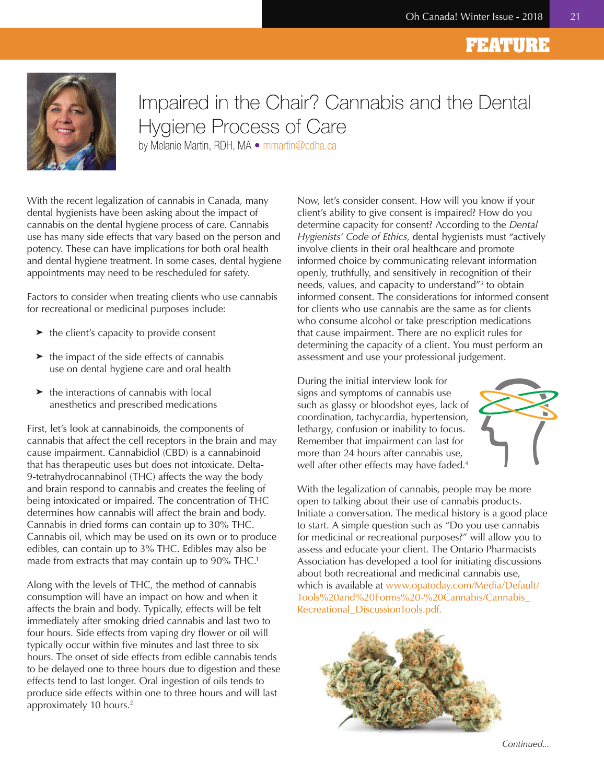### **FEATURE**



# Impaired in the Chair? Cannabis and the Dental Hygiene Process of Care

by Melanie Martin, RDH, MA · mmartin@cdha.ca

With the recent legalization of cannabis in Canada, many dental hygienists have been asking about the impact of cannabis on the dental hygiene process of care. Cannabis use has many side effects that vary based on the person and potency. These can have implications for both oral health and dental hygiene treatment. In some cases, dental hygiene appointments may need to be rescheduled for safety.

Factors to consider when treating clients who use cannabis for recreational or medicinal purposes include:

- ➤ the client's capacity to provide consent
- $\blacktriangleright$  the impact of the side effects of cannabis use on dental hygiene care and oral health
- $\blacktriangleright$  the interactions of cannabis with local anesthetics and prescribed medications

First, let's look at cannabinoids, the components of cannabis that affect the cell receptors in the brain and may cause impairment. Cannabidiol (CBD) is a cannabinoid that has therapeutic uses but does not intoxicate. Delta-9-tetrahydrocannabinol (THC) affects the way the body and brain respond to cannabis and creates the feeling of being intoxicated or impaired. The concentration of THC determines how cannabis will affect the brain and body. Cannabis in dried forms can contain up to 30% THC. Cannabis oil, which may be used on its own or to produce edibles, can contain up to 3% THC. Edibles may also be made from extracts that may contain up to  $90\%$  THC.<sup>1</sup>

Along with the levels of THC, the method of cannabis consumption will have an impact on how and when it affects the brain and body. Typically, effects will be felt immediately after smoking dried cannabis and last two to four hours. Side effects from vaping dry flower or oil will typically occur within five minutes and last three to six hours. The onset of side effects from edible cannabis tends to be delayed one to three hours due to digestion and these effects tend to last longer. Oral ingestion of oils tends to produce side effects within one to three hours and will last approximately 10 hours.<sup>2</sup>

Now, let's consider consent. How will you know if your client's ability to give consent is impaired? How do you determine capacity for consent? According to the *Dental Hygienists' Code of Ethics*, dental hygienists must "actively involve clients in their oral healthcare and promote informed choice by communicating relevant information openly, truthfully, and sensitively in recognition of their needs, values, and capacity to understand<sup>"3</sup> to obtain informed consent. The considerations for informed consent for clients who use cannabis are the same as for clients who consume alcohol or take prescription medications that cause impairment. There are no explicit rules for determining the capacity of a client. You must perform an assessment and use your professional judgement.

During the initial interview look for signs and symptoms of cannabis use such as glassy or bloodshot eyes, lack of coordination, tachycardia, hypertension, lethargy, confusion or inability to focus. Remember that impairment can last for more than 24 hours after cannabis use, well after other effects may have faded.<sup>4</sup>



With the legalization of cannabis, people may be more open to talking about their use of cannabis products. Initiate a conversation. The medical history is a good place to start. A simple question such as "Do you use cannabis for medicinal or recreational purposes?" will allow you to assess and educate your client. The Ontario Pharmacists Association has developed a tool for initiating discussions about both recreational and medicinal cannabis use, which is available at [www.opatoday.com/Media/Default/](https://www.opatoday.com/Media/Default/Tools%20and%20Forms%20-%20Cannabis/Cannabis_Recreational_DiscussionTools.pdf) [Tools%20and%20Forms%20-%20Cannabis/Cannabis\\_](https://www.opatoday.com/Media/Default/Tools%20and%20Forms%20-%20Cannabis/Cannabis_Recreational_DiscussionTools.pdf) [Recreational\\_DiscussionTools.pdf.](https://www.opatoday.com/Media/Default/Tools%20and%20Forms%20-%20Cannabis/Cannabis_Recreational_DiscussionTools.pdf)